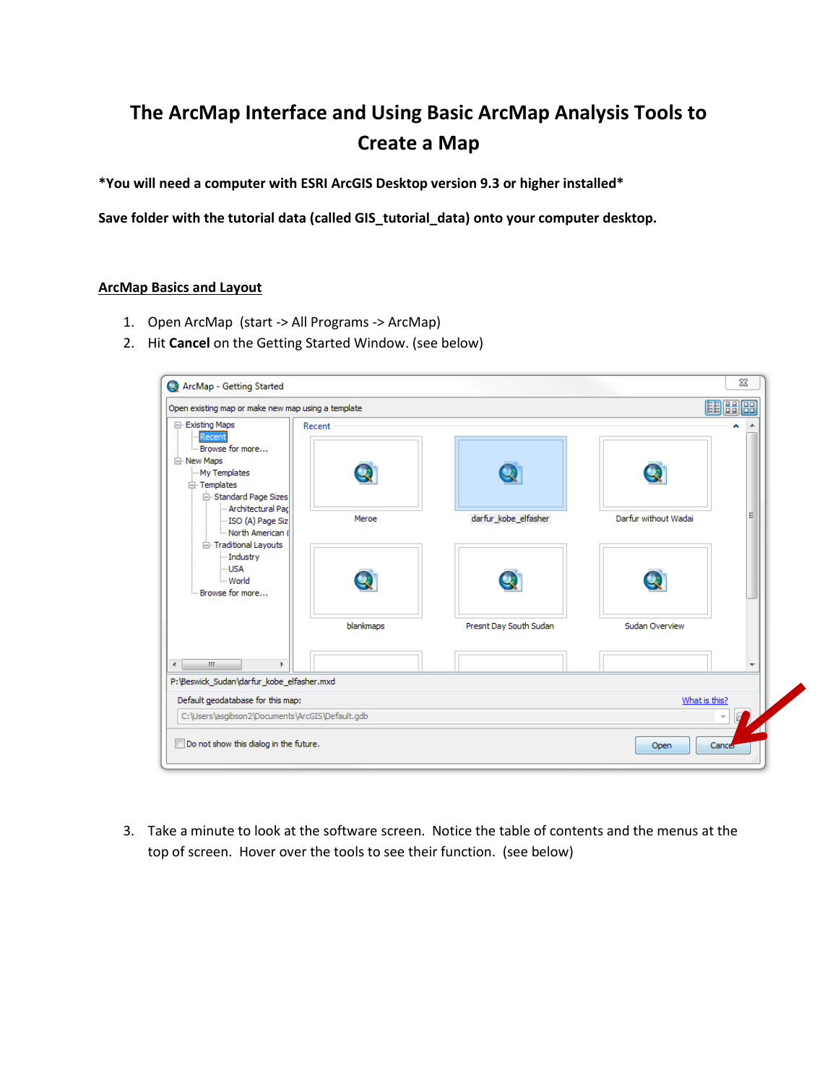# **The ArcMap Interface and Using Basic ArcMap Analysis Tools to Create a Map**

**\*You will need a computer with ESRI ArcGIS Desktop version 9.3 or higher installed\***

**Save folder with the tutorial data (called GIS\_tutorial\_data) onto your computer desktop.**

## **ArcMap Basics and Layout**

- 1. Open ArcMap (start -> All Programs -> ArcMap)
- 2. Hit **Cancel** on the Getting Started Window. (see below)



3. Take a minute to look at the software screen. Notice the table of contents and the menus at the top of screen. Hover over the tools to see their function. (see below)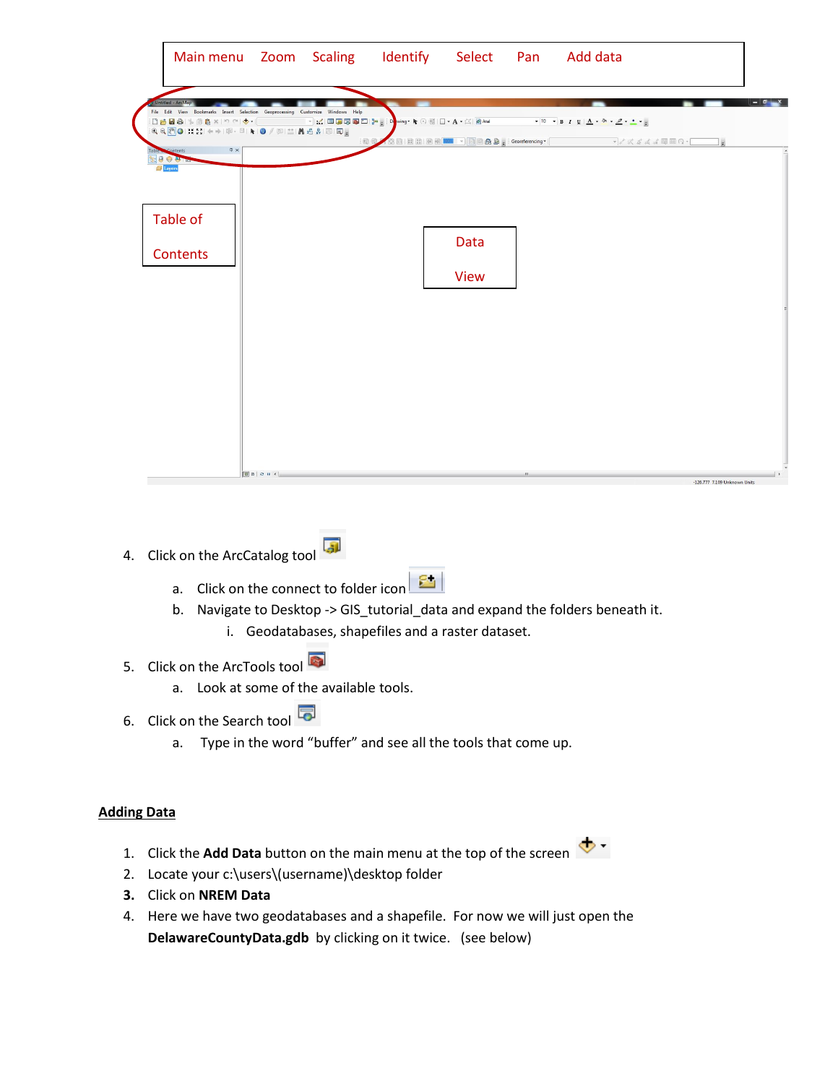| fable Contents<br>$\upmu$ $\times$<br>8.000<br><b>E</b> Layers |  | :DBB8 %®&× ♡─ <mark>/ ↑ - │ │ │ │ ▽ -</mark> ∵   ⊞ <mark>@ 5 @ D   }*</mark> <sub>2</sub> : D <mark>.</mark> wing - 1 + 0 3   [] + A + ≤   @ Asl<br>图目 | OBIER EN HOT - BEAD : Georgerencing - | $\bullet$ 10 $\bullet$ B I U $\underline{A}$ $\bullet$ $\underline{\emptyset}$ $\bullet$ $\underline{\emptyset}$ $\bullet$ $\underline{\bullet}$ $\bullet$ $\underline{\bullet}$ | $\blacksquare$ |
|----------------------------------------------------------------|--|--------------------------------------------------------------------------------------------------------------------------------------------------------|---------------------------------------|----------------------------------------------------------------------------------------------------------------------------------------------------------------------------------|----------------|
| Table of                                                       |  |                                                                                                                                                        |                                       |                                                                                                                                                                                  |                |
| <b>Contents</b>                                                |  |                                                                                                                                                        | Data                                  |                                                                                                                                                                                  |                |
|                                                                |  |                                                                                                                                                        | <b>View</b>                           |                                                                                                                                                                                  |                |
|                                                                |  |                                                                                                                                                        |                                       |                                                                                                                                                                                  |                |
|                                                                |  |                                                                                                                                                        |                                       |                                                                                                                                                                                  |                |

- 4. Click on the ArcCatalog tool
	- a. Click on the connect to folder icon  $\boxed{\mathbb{E}^+}$
	- b. Navigate to Desktop -> GIS\_tutorial\_data and expand the folders beneath it.
		- i. Geodatabases, shapefiles and a raster dataset.
- 5. Click on the ArcTools tool
	- a. Look at some of the available tools.
- 6. Click on the Search tool
	- a. Type in the word "buffer" and see all the tools that come up.

## **Adding Data**

- 1. Click the **Add Data** button on the main menu at the top of the screen
- 2. Locate your c:\users\(username)\desktop folder
- **3.** Click on **NREM Data**
- 4. Here we have two geodatabases and a shapefile. For now we will just open the **DelawareCountyData.gdb** by clicking on it twice. (see below)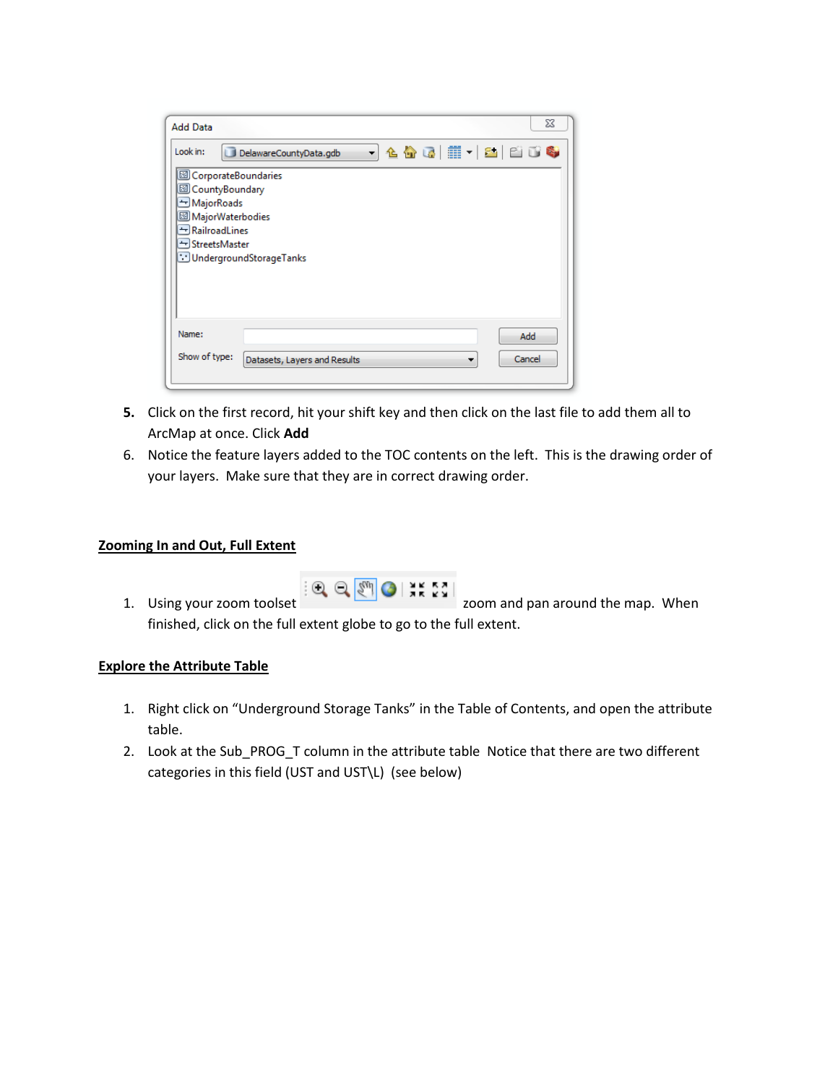| <b>Add Data</b>                                                                                                                        |                              | 23                                    |
|----------------------------------------------------------------------------------------------------------------------------------------|------------------------------|---------------------------------------|
| Look in:                                                                                                                               | DelawareCountyData.gdb       | $-$ 4 $\alpha$ . The set of $\bullet$ |
| 圖 CorporateBoundaries<br>⊠ CountyBoundary<br>MajorRoads<br>MajorWaterbodies<br>$\overline{\phantom{a}}$ RailroadLines<br>StreetsMaster | UndergroundStorageTanks      |                                       |
| Name:<br>Show of type:                                                                                                                 | Datasets, Layers and Results | Add<br>Cancel                         |

- **5.** Click on the first record, hit your shift key and then click on the last file to add them all to ArcMap at once. Click **Add**
- 6. Notice the feature layers added to the TOC contents on the left. This is the drawing order of your layers. Make sure that they are in correct drawing order.

#### **Zooming In and Out, Full Extent**



1. Using your zoom toolset  $\mathbb{R} \otimes \mathbb{R}$  and  $\mathbb{R}$  zoom and pan around the map. When finished, click on the full extent globe to go to the full extent.

## **Explore the Attribute Table**

- 1. Right click on "Underground Storage Tanks" in the Table of Contents, and open the attribute table.
- 2. Look at the Sub\_PROG\_T column in the attribute table Notice that there are two different categories in this field (UST and UST\L) (see below)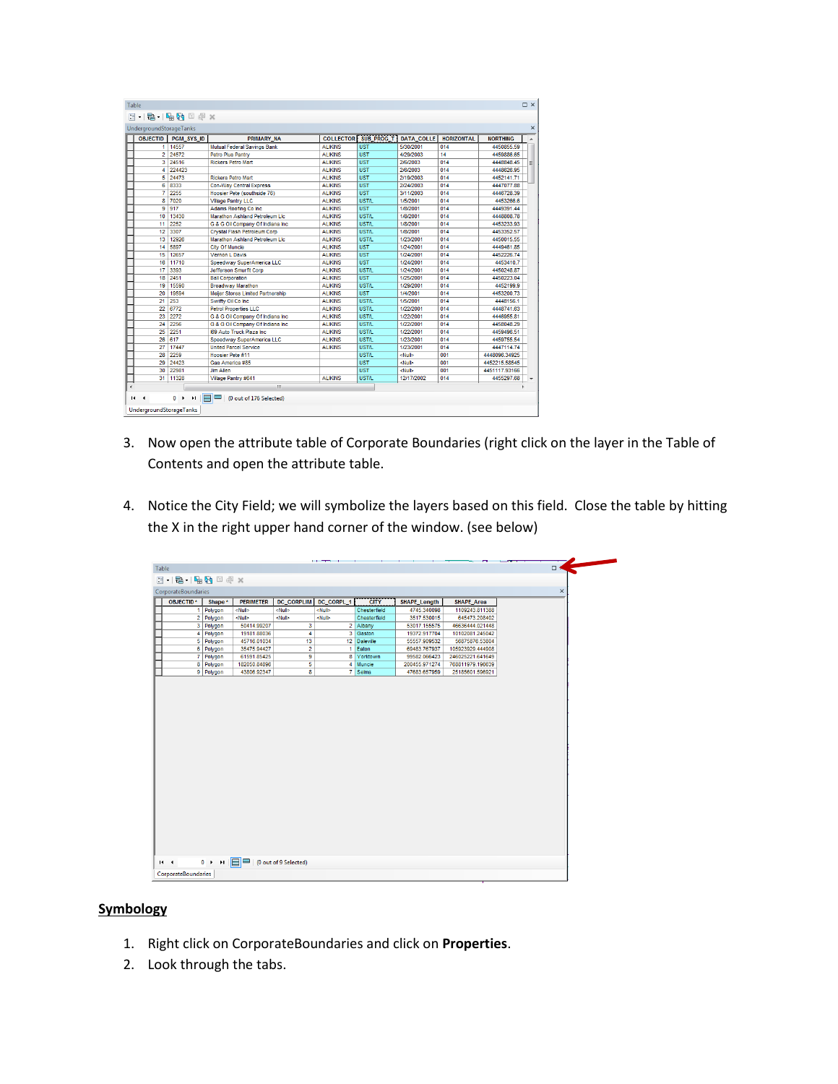| <b>OBJECTID</b> | PGM SYS ID | <b>PRIMARY NA</b>                        |                 | <b>COLLECTOR</b> SUB PROG T | <b>DATA COLLE</b>                                       | <b>HORIZONTAL</b> | <b>NORTHING</b> |
|-----------------|------------|------------------------------------------|-----------------|-----------------------------|---------------------------------------------------------|-------------------|-----------------|
| 11              | 14557      | Mutual Federal Savings Bank              | <b>ALIKINS</b>  | <b>UST</b>                  | 5/30/2001                                               | 014               | 4450855.59      |
|                 | 2 24572    | Petro Plus Pantry                        | <b>ALKINS</b>   | <b>UST</b>                  | 4/29/2003                                               | 14                | 4459886.65      |
|                 | 3 24516    | <b>Rickers Petro Mart</b>                | <b>ALKINS</b>   | <b>UST</b>                  | 2/6/2003                                                | 014               | 444884845       |
|                 | 4 224423   |                                          | <b>ALIKINS</b>  | <b>UST</b>                  | 2/6/2003                                                | 014               | 4448626.95      |
| 5               | 24473      | <b>Rickers Petro Mart</b>                | <b>AI IKINS</b> | $\overline{S}$              | 2/19/2003                                               | 014               | 445214171       |
| Ŕ               | 8333       | <b>Con-Way Central Express</b>           | <b>ALIKINS</b>  | <b>IIST</b>                 | 2/24/2003                                               | 014               | 444707788       |
| 7               | 2255       | Hoosier Pete (southside 76)              | <b>ALIKINS</b>  | <b>UST</b>                  | 3/11/2003                                               | 014               | 4446728.39      |
| 8               | 7020       | <b>Village Pantry LLC</b>                | <b>ALIKINS</b>  | <b>UST/L</b>                | 1/5/2001                                                | 014               | 4453266.6       |
| 9               | 917        | Adams Roofing Co Inc.                    | <b>ALIKINS</b>  | <b>UST</b>                  | 1/8/2001                                                | 014               | 4449391.44      |
| 10              | 13430      | Marathon Ashland Petroleum Lic           | <b>ALIKINS</b>  | <b>UST/L</b>                | 1/8/2001                                                | 014               | 4448808.78      |
| 11              | 2252       | G & G Oil Company Of Indiana Inc.        | <b>ALIKINS</b>  | <b>UST/L</b>                | 1/8/2001                                                | 014               | 4453233.93      |
| 12              | 3307       | Crystal Flash Petroleum Corp             | <b>ALIKINS</b>  | <b>UST/L</b>                | 1/8/2001                                                | 014               | 4453352.57      |
| 13              | 12926      | Marathon Ashland Petroleum Lic           | <b>ALIKINS</b>  | <b>USTA</b>                 | 1/23/2001                                               | 014               | 4450015.55      |
| 14              | 5897       | <b>City Of Muncie</b>                    | <b>ALIKINS</b>  | <b>UST</b>                  | 1/24/2001                                               | 014               | 4449461.85      |
| 15              | 12657      | <b>Vernon L Davis</b>                    | <b>ALIKINS</b>  | <b>UST</b>                  | 1/24/2001                                               | 014               | 4452226.74      |
| 16              | 11710      | Speedway SuperAmerica LLC                | <b>ALIKINS</b>  | <b>UST</b>                  | 1/24/2001                                               | 014               | 4453410.7       |
| 17              | 3393       | Jefferson Smurfit Corp.                  | <b>ALIKINS</b>  | <b>USTA</b>                 | 1/24/2001                                               | 014               | 4450248.87      |
| 18              | 2451       | <b>Ball Corporation</b>                  | <b>ALIKINS</b>  | <b>UST</b>                  | 1/25/2001                                               | 014               | 4450223.04      |
| 19              | 15590      | <b>Broadway Marathon</b>                 | <b>ALIKINS</b>  | <b>USTA</b>                 | 1/29/2001                                               | 014               | 4452199.9       |
| 20              | 19594      | <b>Meiler Stores Limited Partnership</b> | <b>ALKINS</b>   | <b>UST</b>                  | 1/4/2001                                                | 014               | 445320073       |
| 21              | 253        | Swifty Oil Co Inc.                       | <b>ALIKINS</b>  | <b>UST/L</b>                | 1/5/2001                                                | 014               | 4448156.1       |
| 22              | 6772       | <b>Petrol Properties LLC</b>             | <b>ALIKINS</b>  | <b>USTA</b>                 | 1/22/2001                                               | 014               | 444874163       |
| 23              | 2272       | G & G Oil Company Of Indiana Inc.        | <b>ALIKINS</b>  | <b>UST/L</b>                | 1/22/2001                                               | 014               | 4446955.81      |
| 24              | 2256       | G & G Oil Company Of Indiana Inc.        | <b>ALIKINS</b>  | <b>USTA</b>                 | 1/22/2001                                               | 014               | 4458048.29      |
| 25              | 2251       | <b>I69 Auto Truck Plaza Inc.</b>         | <b>ALIKINS</b>  | <b>USTA</b>                 | 1/22/2001                                               | 014               | 4459496.51      |
| 26              | 617        | Speedway SuperAmerica LLC                | <b>ALIKINS</b>  | <b>USTA</b>                 | 1/23/2001                                               | 014               | 4459755.54      |
| 27              | 17447      | <b>United Parcel Service</b>             | <b>ALIKINS</b>  | <b>UST/L</b>                | 1/23/2001                                               | 014               | 4447114.74      |
| 28              | 2259       | Hoosier Pete #11                         |                 | <b>UST/L</b>                | <nulb< td=""><td>001</td><td>4448096.34925</td></nulb<> | 001               | 4448096.34925   |
| 29              | 24423      | Gas America #85                          |                 | <b>UST</b>                  | <nulb< td=""><td>001</td><td>4452215.58545</td></nulb<> | 001               | 4452215.58545   |
| 30              | 22981      | <b>Jim Allen</b>                         |                 | <b>UST</b>                  | <null></null>                                           | 001               | 4451117.93166   |
|                 | 31 11328   | Village Pantry #641                      | <b>ALIKINS</b>  | <b>USTA</b>                 | 12/17/2002                                              | 014               | 4455297.68      |

- 3. Now open the attribute table of Corporate Boundaries (right click on the layer in the Table of Contents and open the attribute table.
- 4. Notice the City Field; we will symbolize the layers based on this field. Close the table by hitting the X in the right upper hand corner of the window. (see below)

|       |                                                 |           |                                               |                         | <b>Contract Contract Contract Contract</b> |              |                     |                   |          |
|-------|-------------------------------------------------|-----------|-----------------------------------------------|-------------------------|--------------------------------------------|--------------|---------------------|-------------------|----------|
| Table |                                                 |           |                                               |                         |                                            |              |                     |                   | Π.       |
|       | $\Box$ - $\Box$ - $\Box$ $\Box$ $\Box$ $\times$ |           |                                               |                         |                                            |              |                     |                   |          |
|       |                                                 |           |                                               |                         |                                            |              |                     |                   |          |
|       | CorporateBoundaries                             |           |                                               |                         |                                            |              |                     |                   | $\times$ |
|       | <b>OBJECTID*</b>                                | Shape *   | <b>PERIMETER</b>                              | DC_CORPLIM              | DC_CORPL_1                                 | <b>CITY</b>  | <b>SHAPE Length</b> | <b>SHAPE Area</b> |          |
|       | $\mathbf{1}$                                    | Polygon   | <null></null>                                 | <null></null>           | <null></null>                              | Chesterfield | 4745.340098         | 1109243.811388    |          |
|       |                                                 | 2 Polygon | <null></null>                                 | <null></null>           | <null></null>                              | Chesterfield | 3517.530015         | 645473.208402     |          |
|       | $\overline{\mathbf{3}}$                         | Polygon   | 50414.99207                                   | 3                       |                                            | 2 Albany     | 53017.155575        | 46636444.021448   |          |
|       | $\overline{4}$                                  | Polygon   | 19181.88036                                   | $\overline{4}$          |                                            | 3 Gaston     | 19372.917704        | 10102081.245042   |          |
|       | 5                                               | Polygon   | 45716.01034                                   | 13                      |                                            | 12 Daleville | 55557.909532        | 56875876.53804    |          |
|       | 6 <sup>1</sup>                                  | Polygon   | 35475.94427                                   | $\overline{\mathbf{c}}$ | $\mathbf{1}$                               | Eaton        | 69483.767937        | 105923929.444908  |          |
|       | $\overline{7}$                                  | Polygon   | 61591.85425                                   | 9                       |                                            | 8 Yorktown   | 99582.066423        | 246025221.641649  |          |
|       |                                                 | 8 Polygon | 182050.84896                                  | 5                       | 4                                          | Muncie       | 200455.971274       | 768811979.196639  |          |
|       |                                                 | 9 Polygon | 43806.92347                                   | 8                       |                                            | 7 Selma      | 47683.657959        | 25185601.596921   |          |
|       |                                                 |           |                                               |                         |                                            |              |                     |                   |          |
|       | $14 - 4$                                        |           | 0 ▶ ▶                   (0 out of 9 Selected) |                         |                                            |              |                     |                   |          |
|       | CorporateBoundaries                             |           |                                               |                         |                                            |              |                     |                   |          |
|       |                                                 |           |                                               |                         |                                            |              |                     |                   |          |

## **Symbology**

- 1. Right click on CorporateBoundaries and click on **Properties**.
- 2. Look through the tabs.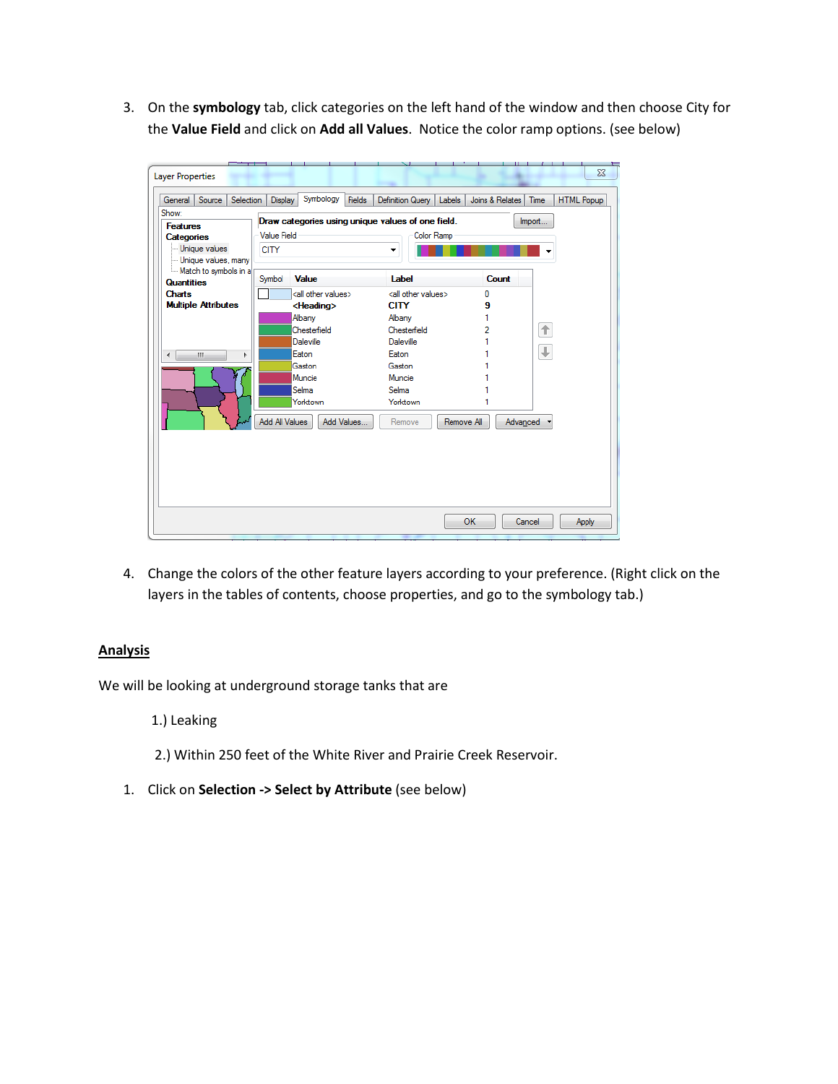3. On the **symbology** tab, click categories on the left hand of the window and then choose City for the **Value Field** and click on **Add all Values**. Notice the color ramp options. (see below)

| Draw categories using unique values of one field.<br>Import<br><b>Value Field</b><br>Color Ramp<br>Unique values<br><b>CITY</b><br>۰<br>- Unique values, many<br>Match to symbols in a<br>Value<br>Symbol<br>Label<br>Count<br><all other="" values=""><br/><all other="" values=""><br/>o<br/><heading><br/><b>CITY</b><br/>9<br/>Albany<br/>Albany<br/>1<br/>个<br/>Chesterfield<br/>Chesterfield<br/>2<br/><b>Daleville</b><br/><b>Daleville</b><br/>₩<br/>Eaton<br/>Eaton<br/>Ш<br/>k<br/>Gaston<br/>Gaston<br/>Muncie<br/>Muncie<br/>Selma<br/>Selma<br/>Yorktown<br/>Yorktown<br/>1<br/><b>Add All Values</b><br/>Add Values<br/>Remove All<br/>Advanced<br/>Remove</heading></all></all> | Source<br>Selection<br>General | Display | Symbology | <b>Fields</b> | Definition Query | Labels | Joins & Relates | Time | <b>HTML Popup</b> |
|------------------------------------------------------------------------------------------------------------------------------------------------------------------------------------------------------------------------------------------------------------------------------------------------------------------------------------------------------------------------------------------------------------------------------------------------------------------------------------------------------------------------------------------------------------------------------------------------------------------------------------------------------------------------------------------------|--------------------------------|---------|-----------|---------------|------------------|--------|-----------------|------|-------------------|
| <b>Categories</b>                                                                                                                                                                                                                                                                                                                                                                                                                                                                                                                                                                                                                                                                              | Show:                          |         |           |               |                  |        |                 |      |                   |
| <b>Quantities</b><br><b>Charts</b><br><b>Multiple Attributes</b><br>$\overline{a}$                                                                                                                                                                                                                                                                                                                                                                                                                                                                                                                                                                                                             | <b>Features</b>                |         |           |               |                  |        |                 |      |                   |
|                                                                                                                                                                                                                                                                                                                                                                                                                                                                                                                                                                                                                                                                                                |                                |         |           |               |                  |        |                 |      |                   |
|                                                                                                                                                                                                                                                                                                                                                                                                                                                                                                                                                                                                                                                                                                |                                |         |           |               |                  |        |                 |      |                   |
|                                                                                                                                                                                                                                                                                                                                                                                                                                                                                                                                                                                                                                                                                                |                                |         |           |               |                  |        |                 |      |                   |
|                                                                                                                                                                                                                                                                                                                                                                                                                                                                                                                                                                                                                                                                                                |                                |         |           |               |                  |        |                 |      |                   |
|                                                                                                                                                                                                                                                                                                                                                                                                                                                                                                                                                                                                                                                                                                |                                |         |           |               |                  |        |                 |      |                   |
|                                                                                                                                                                                                                                                                                                                                                                                                                                                                                                                                                                                                                                                                                                |                                |         |           |               |                  |        |                 |      |                   |
|                                                                                                                                                                                                                                                                                                                                                                                                                                                                                                                                                                                                                                                                                                |                                |         |           |               |                  |        |                 |      |                   |
|                                                                                                                                                                                                                                                                                                                                                                                                                                                                                                                                                                                                                                                                                                |                                |         |           |               |                  |        |                 |      |                   |
|                                                                                                                                                                                                                                                                                                                                                                                                                                                                                                                                                                                                                                                                                                |                                |         |           |               |                  |        |                 |      |                   |
|                                                                                                                                                                                                                                                                                                                                                                                                                                                                                                                                                                                                                                                                                                |                                |         |           |               |                  |        |                 |      |                   |
|                                                                                                                                                                                                                                                                                                                                                                                                                                                                                                                                                                                                                                                                                                |                                |         |           |               |                  |        |                 |      |                   |
|                                                                                                                                                                                                                                                                                                                                                                                                                                                                                                                                                                                                                                                                                                |                                |         |           |               |                  |        |                 |      |                   |
|                                                                                                                                                                                                                                                                                                                                                                                                                                                                                                                                                                                                                                                                                                |                                |         |           |               |                  |        |                 |      |                   |
|                                                                                                                                                                                                                                                                                                                                                                                                                                                                                                                                                                                                                                                                                                |                                |         |           |               |                  |        |                 |      |                   |
|                                                                                                                                                                                                                                                                                                                                                                                                                                                                                                                                                                                                                                                                                                |                                |         |           |               |                  |        |                 |      |                   |
|                                                                                                                                                                                                                                                                                                                                                                                                                                                                                                                                                                                                                                                                                                |                                |         |           |               |                  |        |                 |      |                   |
|                                                                                                                                                                                                                                                                                                                                                                                                                                                                                                                                                                                                                                                                                                |                                |         |           |               |                  |        |                 |      |                   |
|                                                                                                                                                                                                                                                                                                                                                                                                                                                                                                                                                                                                                                                                                                |                                |         |           |               |                  |        |                 |      |                   |
|                                                                                                                                                                                                                                                                                                                                                                                                                                                                                                                                                                                                                                                                                                |                                |         |           |               |                  |        |                 |      |                   |
|                                                                                                                                                                                                                                                                                                                                                                                                                                                                                                                                                                                                                                                                                                |                                |         |           |               |                  |        |                 |      |                   |

4. Change the colors of the other feature layers according to your preference. (Right click on the layers in the tables of contents, choose properties, and go to the symbology tab.)

# **Analysis**

We will be looking at underground storage tanks that are

1.) Leaking

- 2.) Within 250 feet of the White River and Prairie Creek Reservoir.
- 1. Click on **Selection -> Select by Attribute** (see below)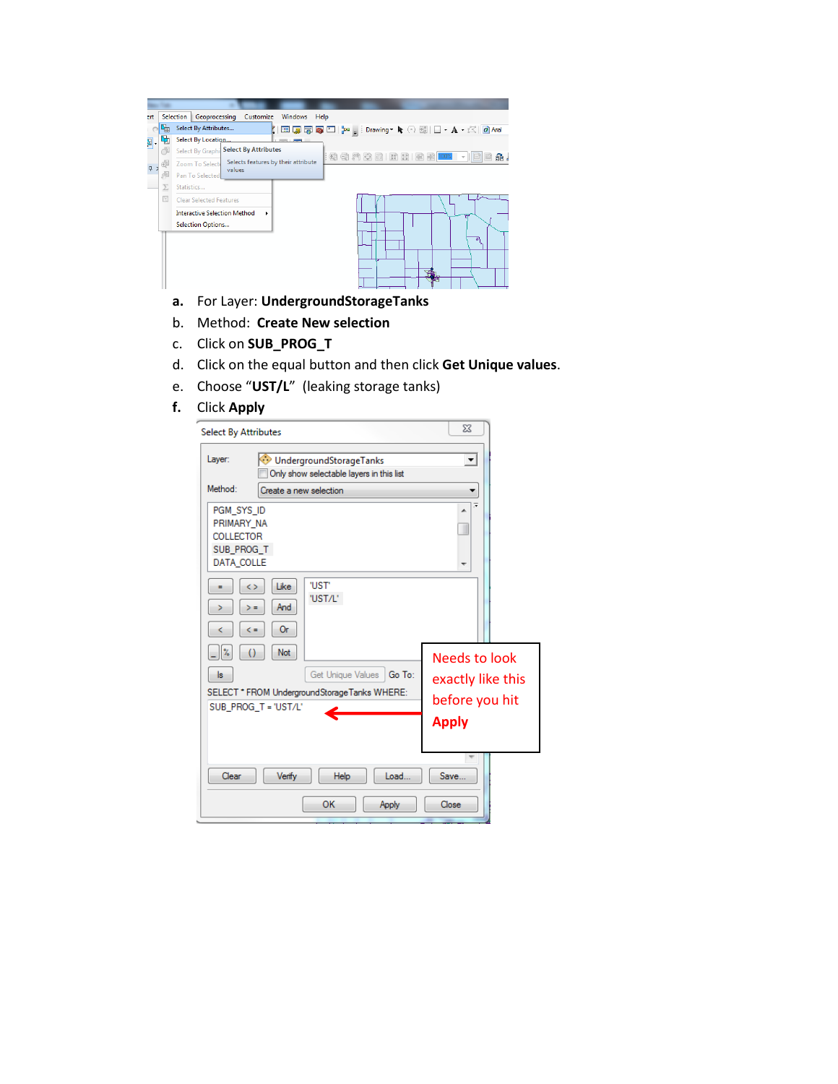| ert            |   | <b>Selection</b> | Geoprocessing                       | Customize                                          | Windows | Help |  |  |                                                                                                                                                                                  |  |
|----------------|---|------------------|-------------------------------------|----------------------------------------------------|---------|------|--|--|----------------------------------------------------------------------------------------------------------------------------------------------------------------------------------|--|
|                |   |                  | Select By Attributes                |                                                    |         |      |  |  | $\mid \blacksquare$ , $\blacksquare$ , $\blacksquare$ , $\blacksquare$ ) orawing $\cdot \blacktriangleright \odot \boxplus \square \cdot \mathbf{A} \cdot \boxtimes \square$ and |  |
| 邼.             |   |                  | Select By Location                  |                                                    |         |      |  |  |                                                                                                                                                                                  |  |
|                |   |                  |                                     | Select By Graphi Select By Attributes              |         |      |  |  |                                                                                                                                                                                  |  |
| $\overline{a}$ |   |                  |                                     | Zoom To Select Selects features by their attribute |         |      |  |  |                                                                                                                                                                                  |  |
|                |   |                  | Pan To Selected                     | values                                             |         |      |  |  |                                                                                                                                                                                  |  |
|                |   | Statistics       |                                     |                                                    |         |      |  |  |                                                                                                                                                                                  |  |
|                | N |                  | <b>Clear Selected Features</b>      |                                                    |         |      |  |  |                                                                                                                                                                                  |  |
|                |   |                  | <b>Interactive Selection Method</b> | ٠                                                  |         |      |  |  | æ                                                                                                                                                                                |  |
|                |   |                  | <b>Selection Options</b>            |                                                    |         |      |  |  |                                                                                                                                                                                  |  |
|                |   |                  |                                     |                                                    |         |      |  |  | ä                                                                                                                                                                                |  |
|                |   |                  |                                     |                                                    |         |      |  |  |                                                                                                                                                                                  |  |
|                |   |                  |                                     |                                                    |         |      |  |  |                                                                                                                                                                                  |  |
|                |   |                  |                                     |                                                    |         |      |  |  |                                                                                                                                                                                  |  |
|                |   |                  |                                     |                                                    |         |      |  |  |                                                                                                                                                                                  |  |

- **a.** For Layer: **UndergroundStorageTanks**
- b. Method: **Create New selection**
- c. Click on **SUB\_PROG\_T**
- d. Click on the equal button and then click **Get Unique values**.
- e. Choose "**UST/L**" (leaking storage tanks)
- **f.** Click **Apply**

| <b>Select By Attributes</b>                                                     |                                                                     | X                                  |
|---------------------------------------------------------------------------------|---------------------------------------------------------------------|------------------------------------|
| Layer:                                                                          | UndergroundStorageTanks<br>Only show selectable layers in this list | $\blacktriangledown$               |
| Method:                                                                         | Create a new selection                                              |                                    |
| PGM_SYS_ID<br>PRIMARY NA<br><b>COLLECTOR</b><br>SUB_PROG_T<br><b>DATA COLLE</b> |                                                                     | $\overline{r}$<br>▲<br>۳           |
| k5<br>$> =$<br>5<br>ć =                                                         | <b>UST</b><br>Like<br>'UST/L'<br>And<br>0r                          |                                    |
| V.<br>$^{()}$<br>İs                                                             | <b>Not</b><br>Go To:<br>Get Unique Values                           | Needs to look<br>exactly like this |
|                                                                                 | SELECT * FROM UndergroundStorageTanks WHERE:                        | before you hit                     |
|                                                                                 | SUB PROG T = 'UST/L'                                                | <b>Apply</b>                       |
| Clear                                                                           | Load<br>Verify<br>Help                                              | Save                               |
|                                                                                 | OK<br>Apply                                                         | Close                              |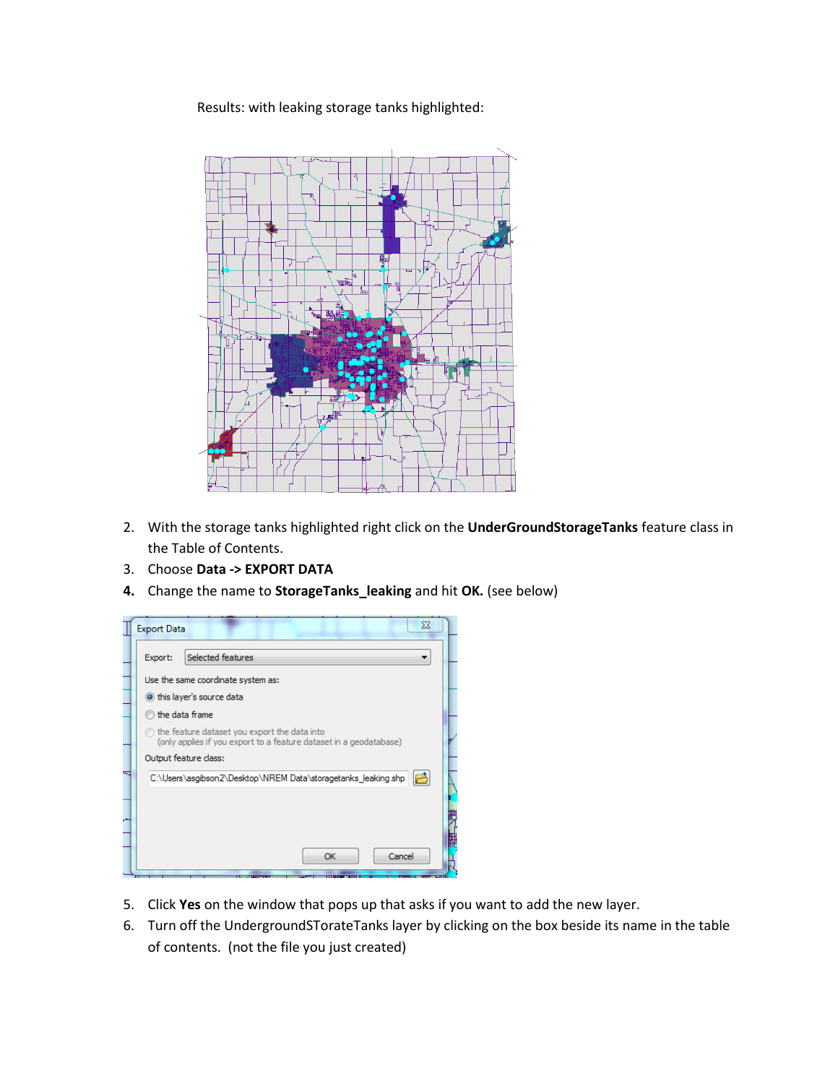Results: with leaking storage tanks highlighted:



- 2. With the storage tanks highlighted right click on the **UnderGroundStorageTanks** feature class in the Table of Contents.
- 3. Choose **Data -> EXPORT DATA**
- **4.** Change the name to **StorageTanks\_leaking** and hit **OK.** (see below)



- 5. Click **Yes** on the window that pops up that asks if you want to add the new layer.
- 6. Turn off the UndergroundSTorateTanks layer by clicking on the box beside its name in the table of contents. (not the file you just created)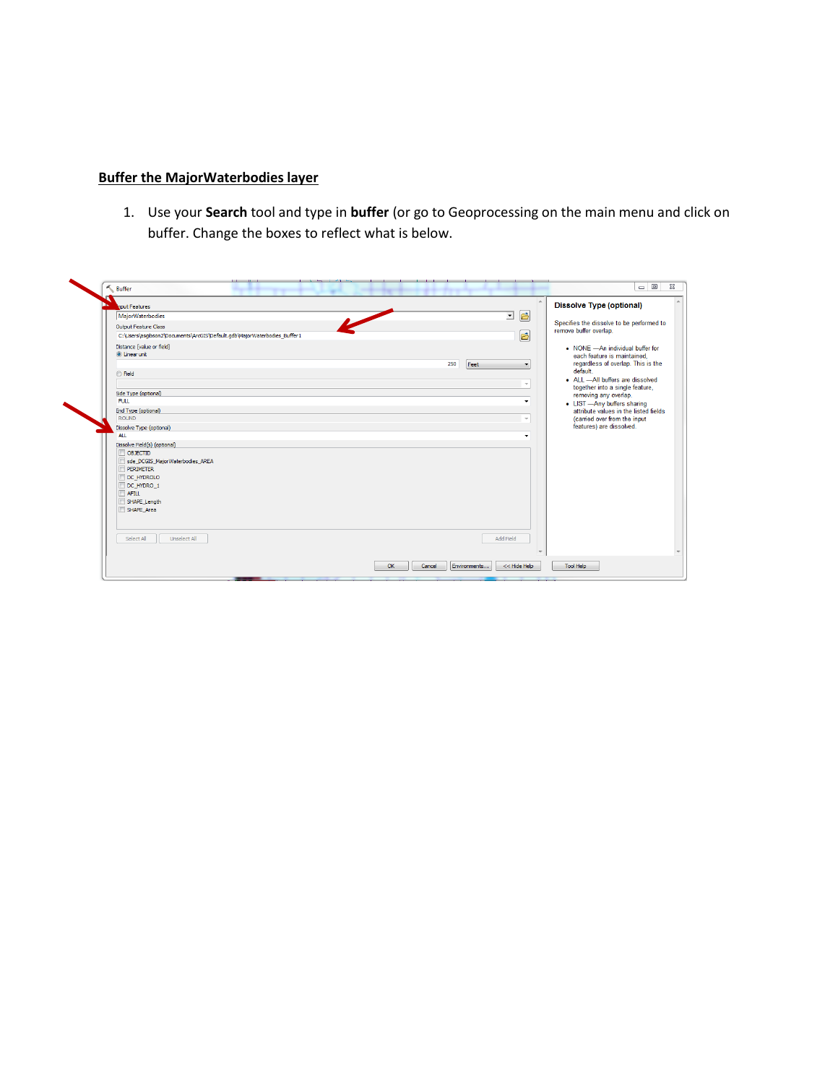#### **Buffer the MajorWaterbodies layer**

1. Use your **Search** tool and type in **buffer** (or go to Geoprocessing on the main menu and click on buffer. Change the boxes to reflect what is below.

| nout Features                                                            |             |                      | <b>Dissolve Type (optional)</b>                                       |
|--------------------------------------------------------------------------|-------------|----------------------|-----------------------------------------------------------------------|
| MajorWaterbodies                                                         |             | B<br>회               |                                                                       |
| Output Feature Class                                                     |             |                      | Specifies the dissolve to be performed to<br>remove buffer overlap.   |
| C:\Users\asgibson2\Documents\ArcGIS\Default.gdb\MajorWaterbodies_Buffer1 |             | 啓                    |                                                                       |
| Distance [value or field]                                                |             |                      | • NONE - An individual buffer for                                     |
| <b>O</b> Linear unit                                                     |             |                      | each feature is maintained.                                           |
|                                                                          | 250<br>Feet | $\blacktriangledown$ | regardless of overlap. This is the<br>default                         |
| <b>Field</b>                                                             |             |                      | • ALL -All buffers are dissolved                                      |
|                                                                          |             |                      | together into a single feature,                                       |
| Side Type (optional)<br><b>FULL</b>                                      |             | ۰                    | removing any overlap.                                                 |
| End Type (optional)                                                      |             |                      | • LIST - Any buffers sharing<br>attribute values in the listed fields |
| <b>ROUND</b>                                                             |             |                      | (carried over from the input                                          |
| Dissolve Type (optional)                                                 |             |                      | features) are dissolved.                                              |
| <b>ALL</b>                                                               |             |                      |                                                                       |
| Dissolve Field(s) (optional)                                             |             |                      |                                                                       |
| OBJECTID                                                                 |             |                      |                                                                       |
| sde_DCGIS_MajorWaterbodies_AREA<br>PERIMETER                             |             |                      |                                                                       |
| DC HYDROLO                                                               |             |                      |                                                                       |
| DC_HYDRO_1                                                               |             |                      |                                                                       |
| AFILL                                                                    |             |                      |                                                                       |
| SHAPE_Length<br>SHAPE_Area                                               |             |                      |                                                                       |
|                                                                          |             |                      |                                                                       |
|                                                                          |             |                      |                                                                       |
| Select All<br>Unselect All                                               | Add Field   |                      |                                                                       |
|                                                                          |             |                      |                                                                       |
|                                                                          |             |                      |                                                                       |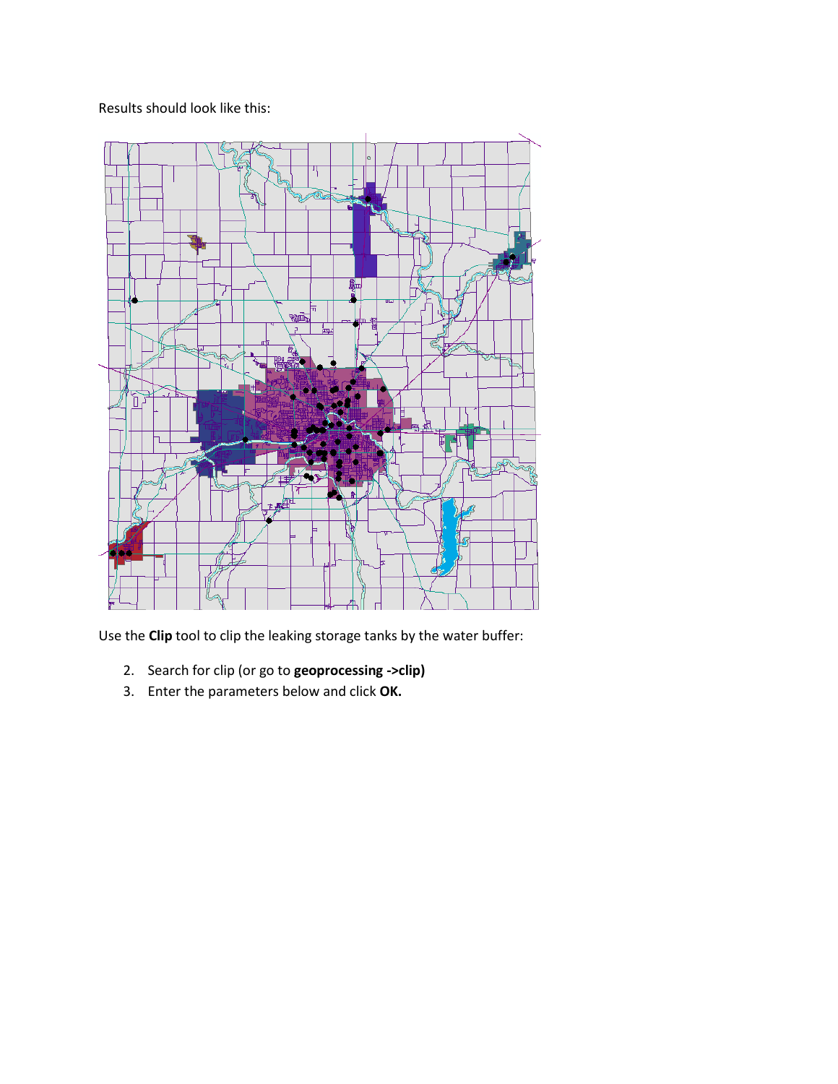Results should look like this:



Use the **Clip** tool to clip the leaking storage tanks by the water buffer:

- 2. Search for clip (or go to **geoprocessing ->clip)**
- 3. Enter the parameters below and click **OK.**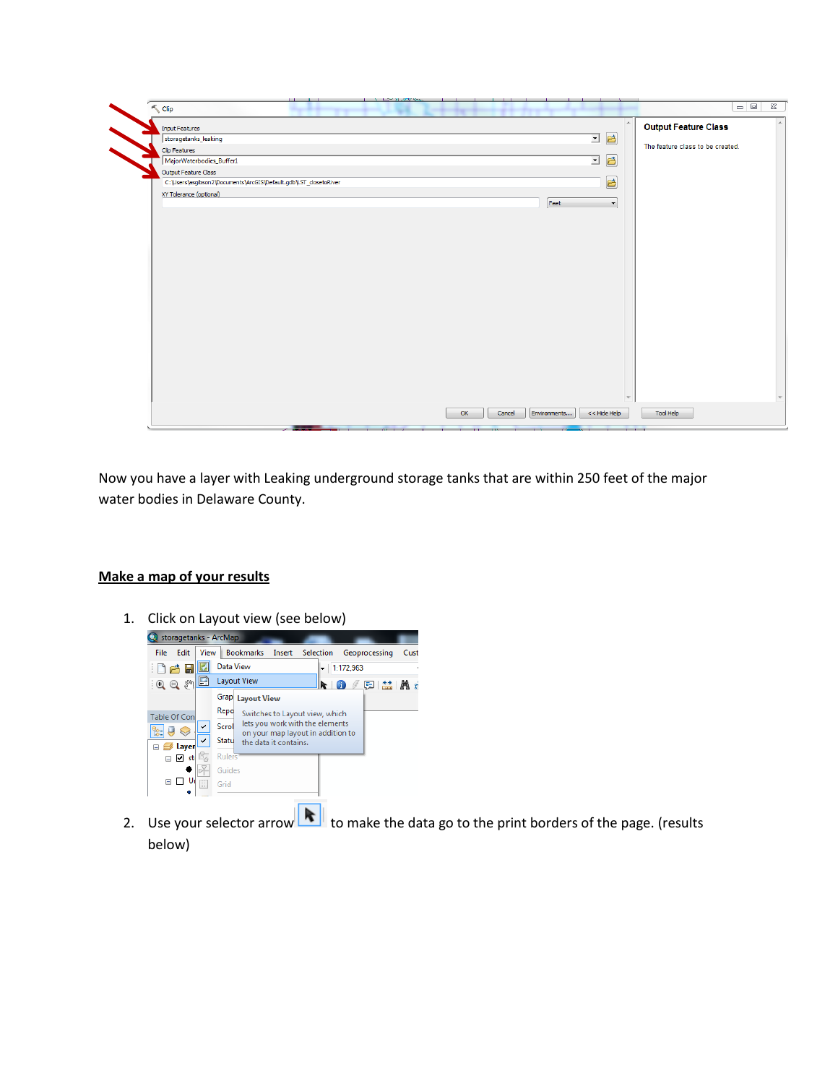| $\leq$ Clip                                                      |                              | $\Box$                           |
|------------------------------------------------------------------|------------------------------|----------------------------------|
| <b>Input Features</b>                                            | $\blacktriangle$             | <b>Output Feature Class</b>      |
| storagetanks_leaking                                             | Je                           |                                  |
| <b>Clip Features</b>                                             |                              | The feature class to be created. |
| MajorWaterbodies_Buffer1                                         | $\mathbf{r}$<br>⊡            |                                  |
| Output Feature Class                                             |                              |                                  |
| C:\Users\asgibson2\Documents\ArcGIS\Default.gdb\LST_closetoRiver | 啓                            |                                  |
| XY Tolerance (optional)                                          |                              |                                  |
|                                                                  | Feet<br>$\blacktriangledown$ |                                  |
|                                                                  |                              |                                  |
|                                                                  |                              |                                  |
|                                                                  |                              |                                  |
|                                                                  |                              |                                  |
|                                                                  |                              |                                  |
|                                                                  |                              |                                  |
|                                                                  |                              |                                  |
|                                                                  |                              |                                  |
|                                                                  |                              |                                  |
|                                                                  |                              |                                  |
|                                                                  |                              |                                  |
|                                                                  |                              |                                  |
|                                                                  |                              |                                  |
|                                                                  |                              |                                  |
|                                                                  |                              |                                  |
|                                                                  |                              |                                  |
|                                                                  |                              |                                  |
|                                                                  |                              |                                  |
|                                                                  |                              |                                  |
|                                                                  |                              |                                  |
| OK<br>Cancel                                                     | Environments<br><< Hide Help | Tool Help                        |

Now you have a layer with Leaking underground storage tanks that are within 250 feet of the major water bodies in Delaware County.

## **Make a map of your results**

1. Click on Layout view (see below)



2. Use your selector arrow  $\|\cdot\|$  to make the data go to the print borders of the page. (results below)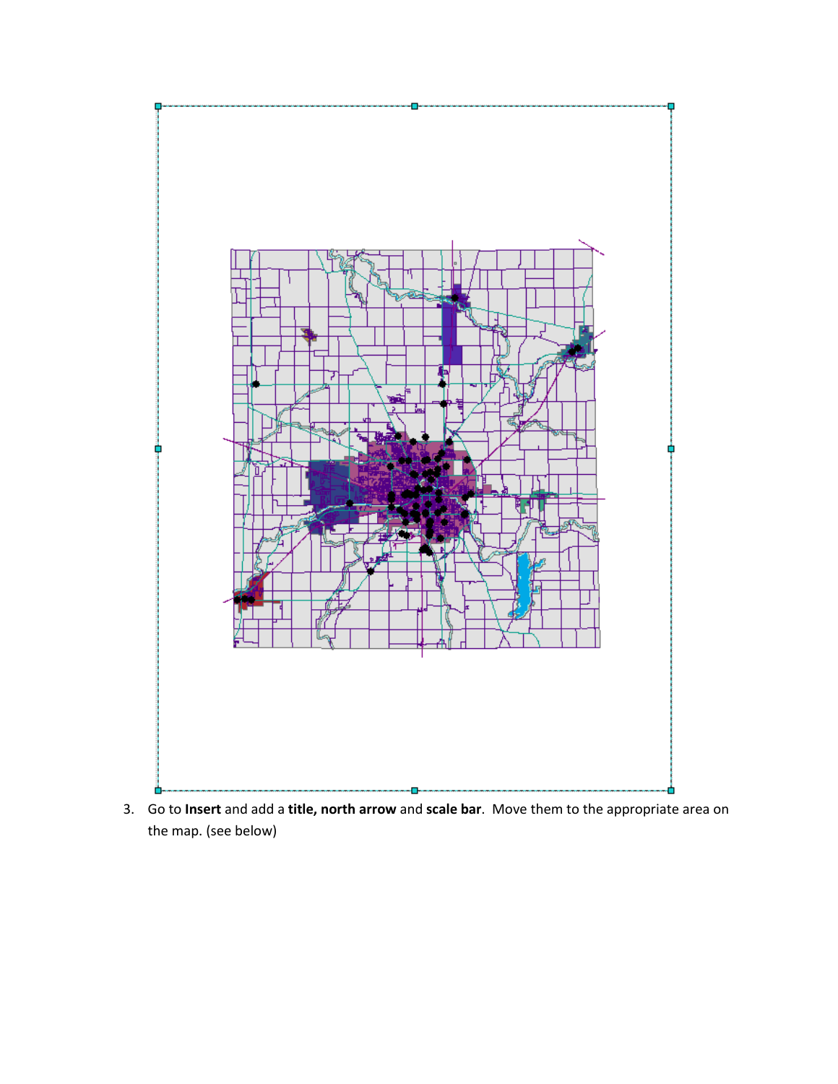

3. Go to **Insert** and add a **title, north arrow** and **scale bar**. Move them to the appropriate area on the map. (see below)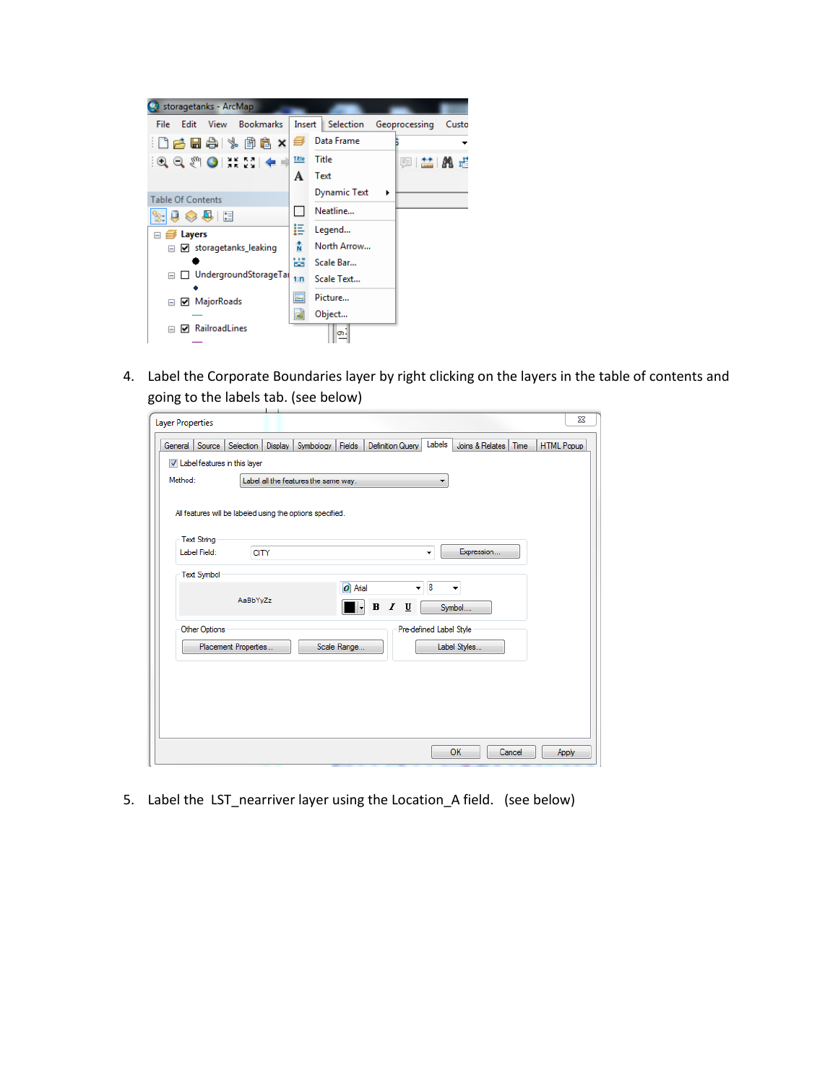| storagetanks - ArcMap                                                                                                                                                                                                                                                                                                                                                                                                                           |                                        |       |
|-------------------------------------------------------------------------------------------------------------------------------------------------------------------------------------------------------------------------------------------------------------------------------------------------------------------------------------------------------------------------------------------------------------------------------------------------|----------------------------------------|-------|
| <b>Bookmarks</b><br>View<br><b>File</b><br>Edit                                                                                                                                                                                                                                                                                                                                                                                                 | Insert  <br>Selection<br>Geoprocessing | Custo |
| : D 2: H & I % @ & X                                                                                                                                                                                                                                                                                                                                                                                                                            | Data Frame                             |       |
| $\mathbf{R} \in \mathbb{C}^{n} \text{ and } \mathbf{R} \in \mathbb{C}^{n} \text{ and } \mathbf{R} \in \mathbb{C}^{n} \text{ and } \mathbf{R} \in \mathbb{C}^{n} \text{ and } \mathbf{R} \in \mathbb{C}^{n} \text{ and } \mathbf{R} \in \mathbb{C}^{n} \text{ and } \mathbf{R} \in \mathbb{C}^{n} \text{ and } \mathbf{R} \in \mathbb{C}^{n} \text{ and } \mathbf{R} \in \mathbb{C}^{n} \text{ and } \mathbf{R} \in \mathbb{C}^{n} \text{ and }$ | Title<br>Title<br><b>EXAMINE</b><br>厚  | 老     |
|                                                                                                                                                                                                                                                                                                                                                                                                                                                 | Α<br>Text                              |       |
| <b>Table Of Contents</b>                                                                                                                                                                                                                                                                                                                                                                                                                        | Dynamic Text<br>١                      |       |
| UJ 33                                                                                                                                                                                                                                                                                                                                                                                                                                           | Neatline                               |       |
| Layers                                                                                                                                                                                                                                                                                                                                                                                                                                          | 詎<br>Legend                            |       |
| storagetanks_leaking<br>$\Box$                                                                                                                                                                                                                                                                                                                                                                                                                  | ŵ<br>North Arrow                       |       |
|                                                                                                                                                                                                                                                                                                                                                                                                                                                 | the second<br>Scale Bar                |       |
| UndergroundStorageTai<br>$\Box$                                                                                                                                                                                                                                                                                                                                                                                                                 | Scale Text<br>1: n                     |       |
| MajorRoads<br>☑<br>⊟                                                                                                                                                                                                                                                                                                                                                                                                                            | Picture<br>$\overline{\phantom{a}}$    |       |
|                                                                                                                                                                                                                                                                                                                                                                                                                                                 | 圖<br>Object                            |       |
| <b>RailroadLines</b><br>ы<br>⊟                                                                                                                                                                                                                                                                                                                                                                                                                  | σ.                                     |       |

4. Label the Corporate Boundaries layer by right clicking on the layers in the table of contents and going to the labels tab. (see below)

| <b>Layer Properties</b>            |                                                           |                                      |                                                              |                         |                        |        |                   | $\Sigma$ |
|------------------------------------|-----------------------------------------------------------|--------------------------------------|--------------------------------------------------------------|-------------------------|------------------------|--------|-------------------|----------|
| General Source Selection           | Display                                                   | Symbology<br>Fields                  | <b>Definition Query</b>                                      | Labels                  | Joins & Relates   Time |        | <b>HTML Popup</b> |          |
| V Label features in this layer     |                                                           |                                      |                                                              |                         |                        |        |                   |          |
| Method:                            |                                                           | Label all the features the same way. |                                                              | ۰                       |                        |        |                   |          |
|                                    | All features will be labeled using the options specified. |                                      |                                                              |                         |                        |        |                   |          |
| <b>Text String</b><br>Label Field: | <b>CITY</b>                                               |                                      |                                                              | ٠                       | Expression             |        |                   |          |
| <b>Text Symbol</b>                 | AaBbYyZz                                                  | $\boldsymbol{o}$ Arial               | $\, {\bf B}$<br>$\boldsymbol{I}$<br>$\underline{\mathbf{U}}$ | $-8$                    | Symbol                 |        |                   |          |
| Other Options                      | Placement Properties                                      | Scale Range                          |                                                              | Pre-defined Label Style | Label Styles           |        |                   |          |
|                                    |                                                           |                                      |                                                              |                         | <b>OK</b>              | Cancel |                   | Apply    |

5. Label the LST\_nearriver layer using the Location\_A field. (see below)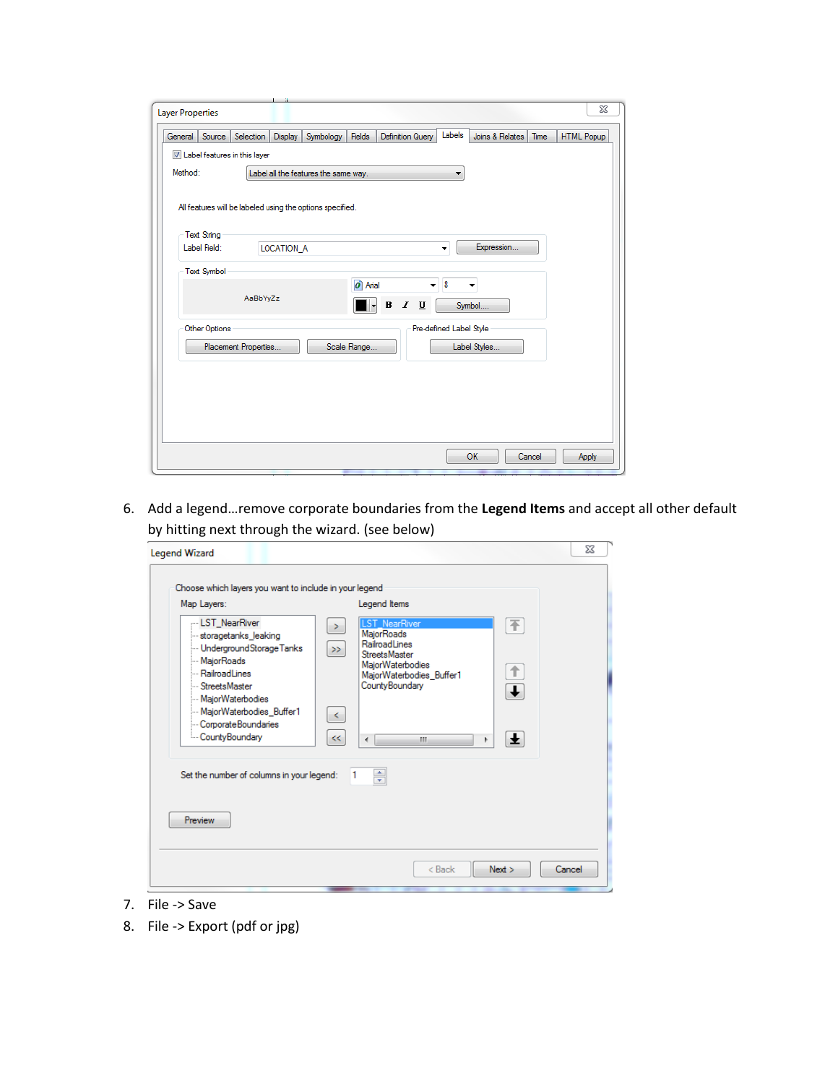| <b>Layer Properties</b>                                                                                                                 | X                 |
|-----------------------------------------------------------------------------------------------------------------------------------------|-------------------|
| Labels<br>Display<br>Symbology<br><b>Definition Query</b><br>Source   Selection  <br>Fields<br>Joins & Relates   Time<br>General        | <b>HTML Popup</b> |
| V Label features in this layer                                                                                                          |                   |
| Method:<br>Label all the features the same way.<br>▼                                                                                    |                   |
| All features will be labeled using the options specified.<br><b>Text String</b><br>Expression<br>Label Field:<br><b>LOCATION A</b><br>▼ |                   |
|                                                                                                                                         |                   |
| <b>Text Symbol</b><br>$\overline{\mathbf{8}}$<br>$\boldsymbol{o}$ Arial<br>۰<br>٠                                                       |                   |
| AaBbYyZz<br>$\bf B$<br>$\boldsymbol{I}$<br>$\underline{\mathbf{u}}$<br>Symbol                                                           |                   |
| Other Options<br>Pre-defined Label Style<br>Placement Properties<br>Scale Range<br>Label Styles                                         |                   |
|                                                                                                                                         |                   |
|                                                                                                                                         |                   |
|                                                                                                                                         |                   |
| OK<br>Cancel                                                                                                                            | Apply             |

6. Add a legend…remove corporate boundaries from the **Legend Items** and accept all other default by hitting next through the wizard. (see below)

| <b>Legend Wizard</b>                                                                                                                                                                                                                                                                                                                                    | Σζ                                                                                                                                                                                                                                        |
|---------------------------------------------------------------------------------------------------------------------------------------------------------------------------------------------------------------------------------------------------------------------------------------------------------------------------------------------------------|-------------------------------------------------------------------------------------------------------------------------------------------------------------------------------------------------------------------------------------------|
| Choose which layers you want to include in your legend<br>Map Layers:<br><b>LST_NearRiver</b><br>storagetanks_leaking<br>- Underground Storage Tanks<br>MajorRoads<br>RailroadLines<br>Streets Master<br>MajorWaterbodies<br>MajorWaterbodies_Buffer1<br>Corporate Boundaries<br>CountyBoundary<br>Set the number of columns in your legend:<br>Preview | Legend Items<br><b>LST</b> NearRiver<br>不<br>Σ,<br>MajorRoads<br>RailroadLines<br>$\gg$<br><b>StreetsMaster</b><br>MajorWaterbodies<br>MajorWaterbodies Buffer1<br>CountyBoundary<br>$\prec$<br>士<br>$<<$<br>Ш<br>$\left($<br>Þ<br>÷<br>1 |
|                                                                                                                                                                                                                                                                                                                                                         | Next ><br>Cancel<br>< Back                                                                                                                                                                                                                |

- 7. File -> Save
- 8. File -> Export (pdf or jpg)